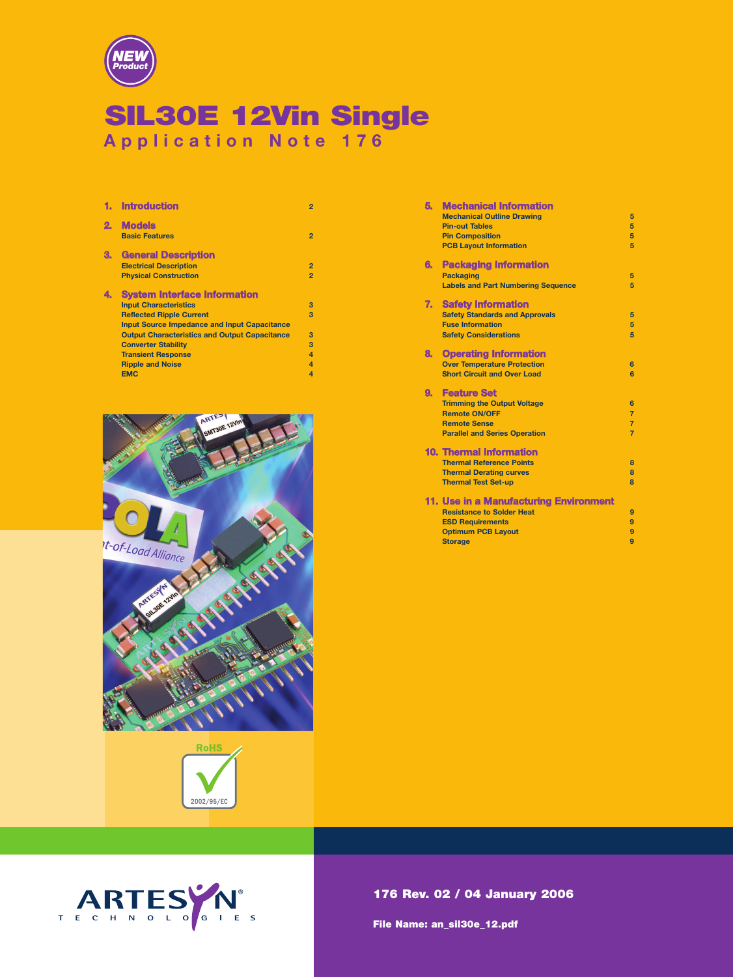

# SIL30E 12Vin Single **Application Note 176**

|    | <b>Introduction</b>                                  | $\overline{2}$          |
|----|------------------------------------------------------|-------------------------|
| 2. | <b>Models</b><br><b>Basic Features</b>               | $\overline{2}$          |
| З. | <b>General Description</b>                           |                         |
|    | <b>Electrical Description</b>                        | $\overline{2}$          |
|    | <b>Physical Construction</b>                         | $\overline{2}$          |
| 4. | <b>System Interface Information</b>                  |                         |
|    | <b>Input Characteristics</b>                         | 3                       |
|    | <b>Reflected Ripple Current</b>                      | 3                       |
|    | <b>Input Source Impedance and Input Capacitance</b>  |                         |
|    | <b>Output Characteristics and Output Capacitance</b> | 3                       |
|    | <b>Converter Stability</b>                           | 3                       |
|    | <b>Transient Response</b>                            | $\boldsymbol{A}$        |
|    | <b>Ripple and Noise</b>                              | $\boldsymbol{A}$        |
|    | <b>EMC</b>                                           | $\overline{\mathbf{A}}$ |





| 5. | <b>Mechanical Information</b>             |                         |
|----|-------------------------------------------|-------------------------|
|    | <b>Mechanical Outline Drawing</b>         | 5                       |
|    | <b>Pin-out Tables</b>                     | 5                       |
|    | <b>Pin Composition</b>                    | 5                       |
|    | <b>PCB Layout Information</b>             | 5                       |
|    |                                           |                         |
| 6. | <b>Packaging Information</b>              |                         |
|    | <b>Packaging</b>                          | 5                       |
|    | <b>Labels and Part Numbering Sequence</b> | 5                       |
| 7. | <b>Safety Information</b>                 |                         |
|    | <b>Safety Standards and Approvals</b>     | 5                       |
|    | <b>Fuse Information</b>                   | 5                       |
|    | <b>Safety Considerations</b>              | 5                       |
|    |                                           |                         |
| 8. | <b>Operating Information</b>              |                         |
|    | <b>Over Temperature Protection</b>        | 6                       |
|    | <b>Short Circuit and Over Load</b>        | 6                       |
| 9. | <b>Feature Set</b>                        |                         |
|    | <b>Trimming the Output Voltage</b>        | 6                       |
|    | <b>Remote ON/OFF</b>                      | $\overline{7}$          |
|    | <b>Remote Sense</b>                       | $\overline{7}$          |
|    | <b>Parallel and Series Operation</b>      | $\overline{7}$          |
|    |                                           |                         |
|    | <b>10. Thermal Information</b>            |                         |
|    | <b>Thermal Reference Points</b>           | 8                       |
|    | <b>Thermal Derating curves</b>            | $\overline{\mathbf{a}}$ |
|    | <b>Thermal Test Set-up</b>                | $\mathbf{R}$            |
|    |                                           |                         |
|    | 11. Use in a Manufacturing Environment    |                         |
|    | <b>Resistance to Solder Heat</b>          | 9                       |
|    | <b>ESD Requirements</b>                   | $\overline{9}$          |
|    | <b>Optimum PCB Layout</b>                 | 9                       |
|    | <b>Storage</b>                            | 9                       |



176 Rev. 02 / 04 January 2006

File Name: an\_sil30e\_12.pdf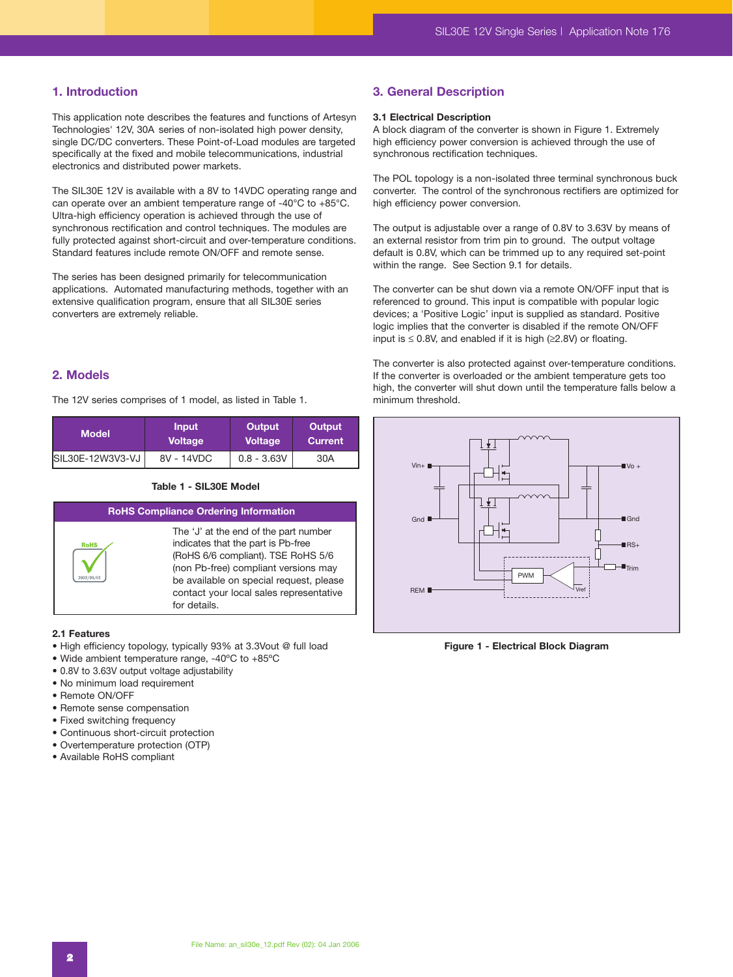# **1. Introduction**

This application note describes the features and functions of Artesyn Technologies' 12V, 30A series of non-isolated high power density, single DC/DC converters. These Point-of-Load modules are targeted specifically at the fixed and mobile telecommunications, industrial electronics and distributed power markets.

The SIL30E 12V is available with a 8V to 14VDC operating range and can operate over an ambient temperature range of -40°C to +85°C. Ultra-high efficiency operation is achieved through the use of synchronous rectification and control techniques. The modules are fully protected against short-circuit and over-temperature conditions. Standard features include remote ON/OFF and remote sense.

The series has been designed primarily for telecommunication applications. Automated manufacturing methods, together with an extensive qualification program, ensure that all SIL30E series converters are extremely reliable.

# **2. Models**

The 12V series comprises of 1 model, as listed in Table 1.

| <b>Model</b>     | <b>Input</b>   | Output         | Output  |
|------------------|----------------|----------------|---------|
|                  | <b>Voltage</b> | <b>Voltage</b> | Current |
| SIL30E-12W3V3-VJ | 8V - 14VDC     | $0.8 - 3.63V$  | 30A     |

#### **Table 1 - SIL30E Model**



#### **2.1 Features**

- High efficiency topology, typically 93% at 3.3Vout @ full load
- Wide ambient temperature range, -40ºC to +85ºC
- 0.8V to 3.63V output voltage adjustability
- No minimum load requirement
- Remote ON/OFF
- Remote sense compensation
- Fixed switching frequency
- Continuous short-circuit protection
- Overtemperature protection (OTP)
- Available RoHS compliant

# **3. General Description**

# **3.1 Electrical Description**

A block diagram of the converter is shown in Figure 1. Extremely high efficiency power conversion is achieved through the use of synchronous rectification techniques.

The POL topology is a non-isolated three terminal synchronous buck converter. The control of the synchronous rectifiers are optimized for high efficiency power conversion.

The output is adjustable over a range of 0.8V to 3.63V by means of an external resistor from trim pin to ground. The output voltage default is 0.8V, which can be trimmed up to any required set-point within the range. See Section 9.1 for details.

The converter can be shut down via a remote ON/OFF input that is referenced to ground. This input is compatible with popular logic devices; a 'Positive Logic' input is supplied as standard. Positive logic implies that the converter is disabled if the remote ON/OFF input is  $\leq$  0.8V, and enabled if it is high ( $\geq$ 2.8V) or floating.

The converter is also protected against over-temperature conditions. If the converter is overloaded or the ambient temperature gets too high, the converter will shut down until the temperature falls below a minimum threshold.



**Figure 1 - Electrical Block Diagram**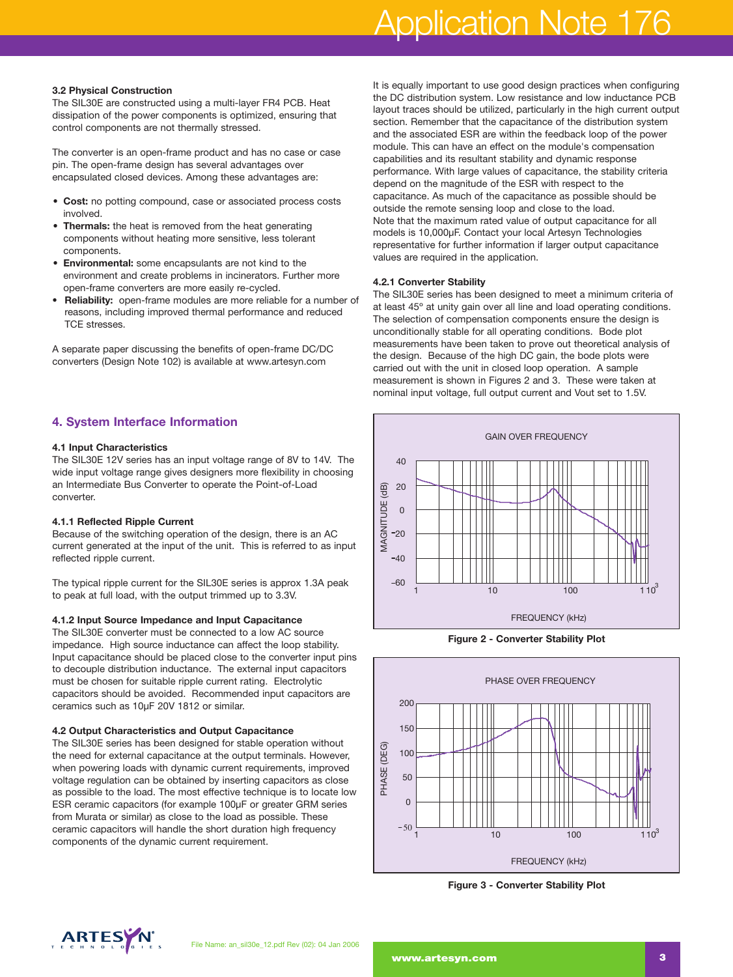# Application Note 176

#### **3.2 Physical Construction**

The SIL30E are constructed using a multi-layer FR4 PCB. Heat dissipation of the power components is optimized, ensuring that control components are not thermally stressed.

The converter is an open-frame product and has no case or case pin. The open-frame design has several advantages over encapsulated closed devices. Among these advantages are:

- **Cost:** no potting compound, case or associated process costs involved.
- **Thermals:** the heat is removed from the heat generating components without heating more sensitive, less tolerant components.
- **Environmental:** some encapsulants are not kind to the environment and create problems in incinerators. Further more open-frame converters are more easily re-cycled.
- **Reliability:** open-frame modules are more reliable for a number of reasons, including improved thermal performance and reduced TCE stresses.

A separate paper discussing the benefits of open-frame DC/DC converters (Design Note 102) is available at www.artesyn.com

# **4. System Interface Information**

### **4.1 Input Characteristics**

The SIL30E 12V series has an input voltage range of 8V to 14V. The wide input voltage range gives designers more flexibility in choosing an Intermediate Bus Converter to operate the Point-of-Load converter.

### **4.1.1 Reflected Ripple Current**

Because of the switching operation of the design, there is an AC current generated at the input of the unit. This is referred to as input reflected ripple current.

The typical ripple current for the SIL30E series is approx 1.3A peak to peak at full load, with the output trimmed up to 3.3V.

#### **4.1.2 Input Source Impedance and Input Capacitance**

The SIL30E converter must be connected to a low AC source impedance. High source inductance can affect the loop stability. Input capacitance should be placed close to the converter input pins to decouple distribution inductance. The external input capacitors must be chosen for suitable ripple current rating. Electrolytic capacitors should be avoided. Recommended input capacitors are ceramics such as 10µF 20V 1812 or similar.

#### **4.2 Output Characteristics and Output Capacitance**

The SIL30E series has been designed for stable operation without the need for external capacitance at the output terminals. However, when powering loads with dynamic current requirements, improved voltage regulation can be obtained by inserting capacitors as close as possible to the load. The most effective technique is to locate low ESR ceramic capacitors (for example 100µF or greater GRM series from Murata or similar) as close to the load as possible. These ceramic capacitors will handle the short duration high frequency components of the dynamic current requirement.

It is equally important to use good design practices when configuring the DC distribution system. Low resistance and low inductance PCB layout traces should be utilized, particularly in the high current output section. Remember that the capacitance of the distribution system and the associated ESR are within the feedback loop of the power module. This can have an effect on the module's compensation capabilities and its resultant stability and dynamic response performance. With large values of capacitance, the stability criteria depend on the magnitude of the ESR with respect to the capacitance. As much of the capacitance as possible should be outside the remote sensing loop and close to the load. Note that the maximum rated value of output capacitance for all models is 10,000µF. Contact your local Artesyn Technologies representative for further information if larger output capacitance values are required in the application.

#### **4.2.1 Converter Stability**

The SIL30E series has been designed to meet a minimum criteria of at least 45º at unity gain over all line and load operating conditions. The selection of compensation components ensure the design is unconditionally stable for all operating conditions. Bode plot measurements have been taken to prove out theoretical analysis of the design. Because of the high DC gain, the bode plots were carried out with the unit in closed loop operation. A sample measurement is shown in Figures 2 and 3. These were taken at nominal input voltage, full output current and Vout set to 1.5V.



**Figure 2 - Converter Stability Plot**



**Figure 3 - Converter Stability Plot**

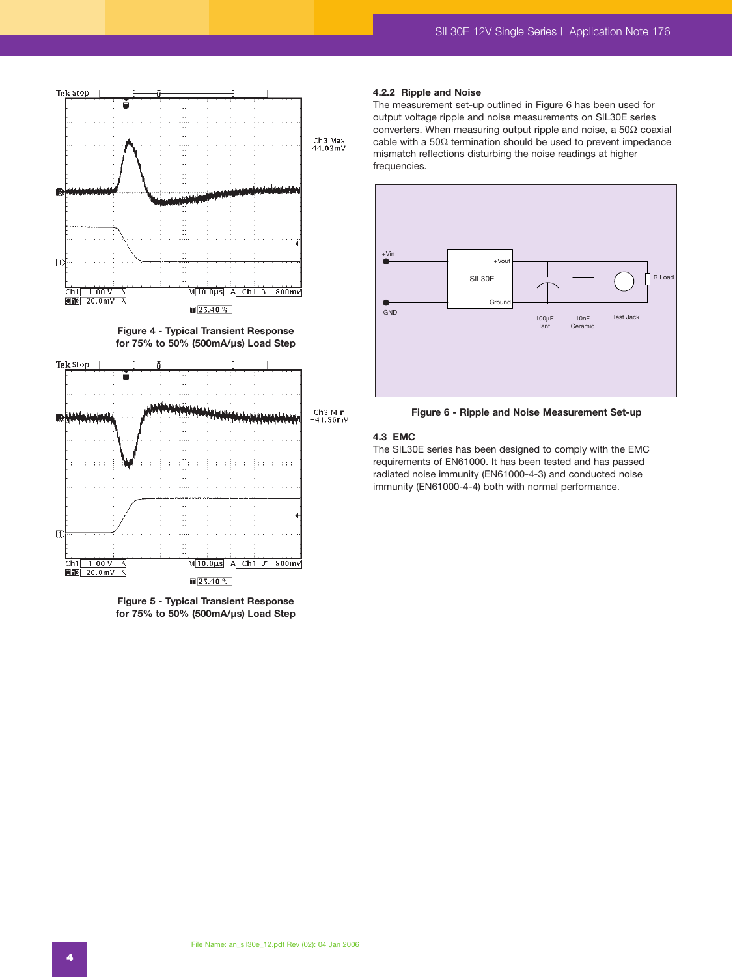

**Figure 4 - Typical Transient Response for 75% to 50% (500mA/µs) Load Step**



**Figure 5 - Typical Transient Response for 75% to 50% (500mA/µs) Load Step**

#### **4.2.2 Ripple and Noise**

The measurement set-up outlined in Figure 6 has been used for output voltage ripple and noise measurements on SIL30E series converters. When measuring output ripple and noise, a 50Ω coaxial cable with a 50Ω termination should be used to prevent impedance mismatch reflections disturbing the noise readings at higher frequencies.



**Figure 6 - Ripple and Noise Measurement Set-up**

### **4.3 EMC**

The SIL30E series has been designed to comply with the EMC requirements of EN61000. It has been tested and has passed radiated noise immunity (EN61000-4-3) and conducted noise immunity (EN61000-4-4) both with normal performance.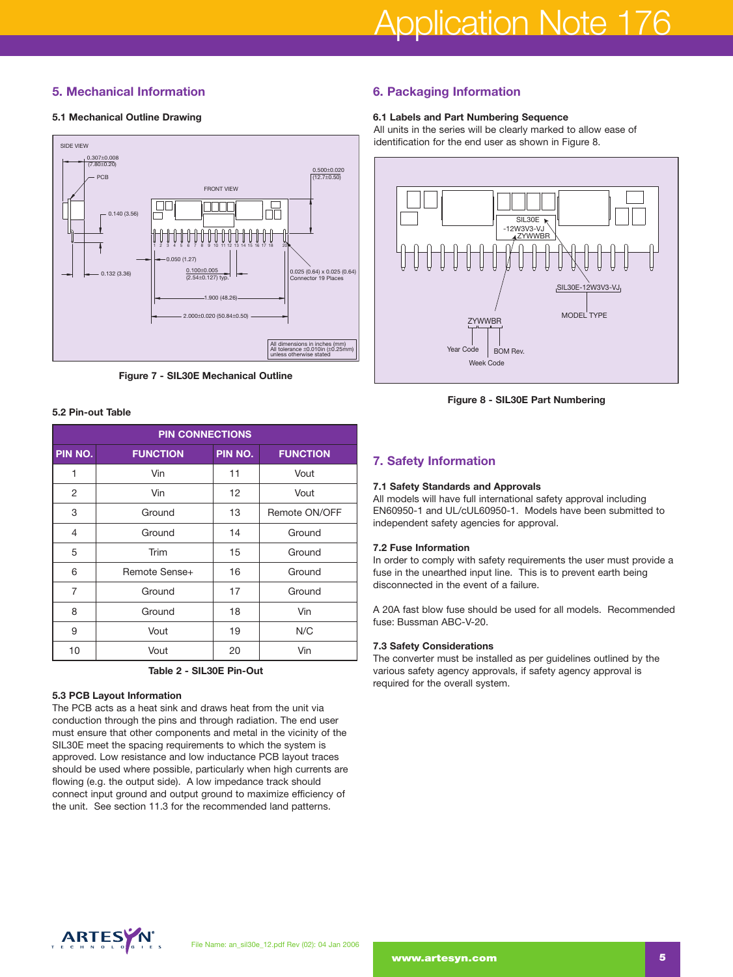# **5. Mechanical Information**

# **5.1 Mechanical Outline Drawing**



**Figure 7 - SIL30E Mechanical Outline**

### **5.2 Pin-out Table**

| <b>PIN CONNECTIONS</b> |                 |         |                 |
|------------------------|-----------------|---------|-----------------|
| PIN NO.                | <b>FUNCTION</b> | PIN NO. | <b>FUNCTION</b> |
| 1                      | Vin             | 11      | Vout            |
| 2                      | Vin             | 12      | Vout            |
| 3                      | Ground          | 13      | Remote ON/OFF   |
| 4                      | Ground          | 14      | Ground          |
| 5                      | Trim            | 15      | Ground          |
| 6                      | Remote Sense+   | 16      | Ground          |
| $\overline{7}$         | Ground          | 17      | Ground          |
| 8                      | Ground          | 18      | Vin             |
| 9                      | Vout            | 19      | N/C             |
| 10                     | Vout            | 20      | Vin             |

**Table 2 - SIL30E Pin-Out**

### **5.3 PCB Layout Information**

The PCB acts as a heat sink and draws heat from the unit via conduction through the pins and through radiation. The end user must ensure that other components and metal in the vicinity of the SIL30E meet the spacing requirements to which the system is approved. Low resistance and low inductance PCB layout traces should be used where possible, particularly when high currents are flowing (e.g. the output side). A low impedance track should connect input ground and output ground to maximize efficiency of the unit. See section 11.3 for the recommended land patterns.

# **6. Packaging Information**

# **6.1 Labels and Part Numbering Sequence**

All units in the series will be clearly marked to allow ease of identification for the end user as shown in Figure 8.



**Figure 8 - SIL30E Part Numbering**

# **7. Safety Information**

# **7.1 Safety Standards and Approvals**

All models will have full international safety approval including EN60950-1 and UL/cUL60950-1. Models have been submitted to independent safety agencies for approval.

# **7.2 Fuse Information**

In order to comply with safety requirements the user must provide a fuse in the unearthed input line. This is to prevent earth being disconnected in the event of a failure.

A 20A fast blow fuse should be used for all models. Recommended fuse: Bussman ABC-V-20.

# **7.3 Safety Considerations**

The converter must be installed as per guidelines outlined by the various safety agency approvals, if safety agency approval is required for the overall system.

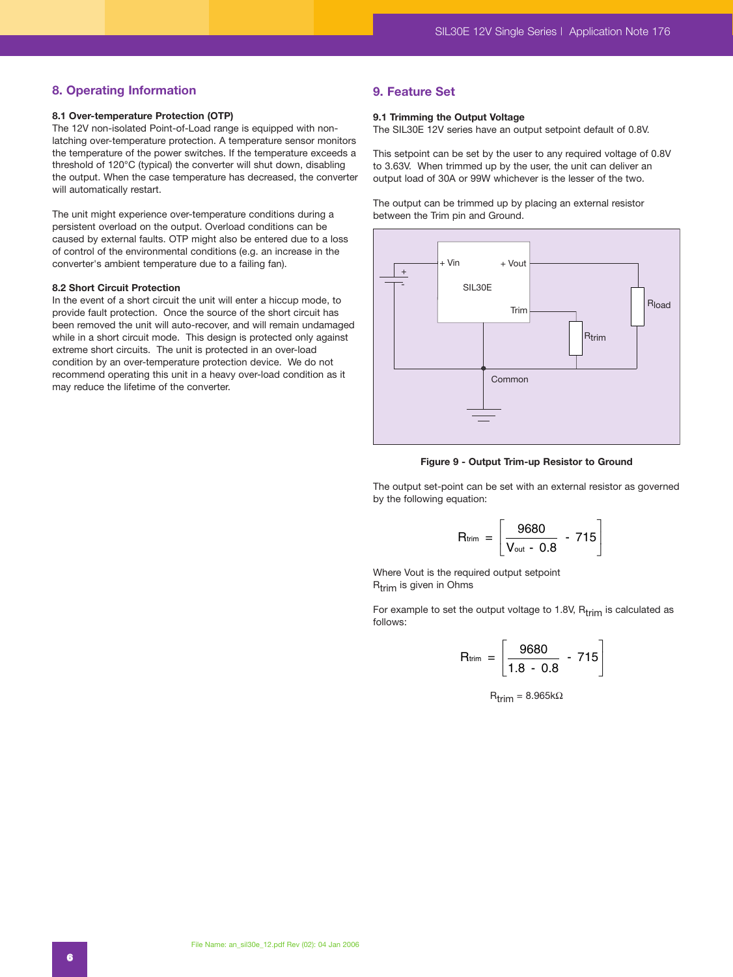# **8. Operating Information**

#### **8.1 Over-temperature Protection (OTP)**

The 12V non-isolated Point-of-Load range is equipped with nonlatching over-temperature protection. A temperature sensor monitors the temperature of the power switches. If the temperature exceeds a threshold of 120°C (typical) the converter will shut down, disabling the output. When the case temperature has decreased, the converter will automatically restart.

The unit might experience over-temperature conditions during a persistent overload on the output. Overload conditions can be caused by external faults. OTP might also be entered due to a loss of control of the environmental conditions (e.g. an increase in the converter's ambient temperature due to a failing fan).

#### **8.2 Short Circuit Protection**

In the event of a short circuit the unit will enter a hiccup mode, to provide fault protection. Once the source of the short circuit has been removed the unit will auto-recover, and will remain undamaged while in a short circuit mode. This design is protected only against extreme short circuits. The unit is protected in an over-load condition by an over-temperature protection device. We do not recommend operating this unit in a heavy over-load condition as it may reduce the lifetime of the converter.

# **9. Feature Set**

### **9.1 Trimming the Output Voltage**

The SIL30E 12V series have an output setpoint default of 0.8V.

This setpoint can be set by the user to any required voltage of 0.8V to 3.63V. When trimmed up by the user, the unit can deliver an output load of 30A or 99W whichever is the lesser of the two.

The output can be trimmed up by placing an external resistor between the Trim pin and Ground.



**Figure 9 - Output Trim-up Resistor to Ground**

The output set-point can be set with an external resistor as governed by the following equation:

\n- Output Trim-up Resistance to 0
\n- It can be set with an external resolution:
\n- $$
R_{\text{trim}} = \left[ \frac{9680}{V_{\text{out}} - 0.8} - 715 \right]
$$
\n
\n- required output setpoint
\n

Where Vout is the required output setpoint  $R_{trim}$  is given in Ohms

For example to set the output voltage to 1.8V,  $R_{trim}$  is calculated as follows:

$$
[Vout - U.6]
$$
\nRequired output set point ms

\nthe output voltage to 1.8V, R<sub>trim</sub>

\nR<sub>trim</sub> = 
$$
\begin{bmatrix} 9680 & 715 \\ 1.8 - 0.8 & 715 \end{bmatrix}
$$
\nR<sub>trim</sub> = 8.965kΩ

 $R_{trim} = 8.965k\Omega$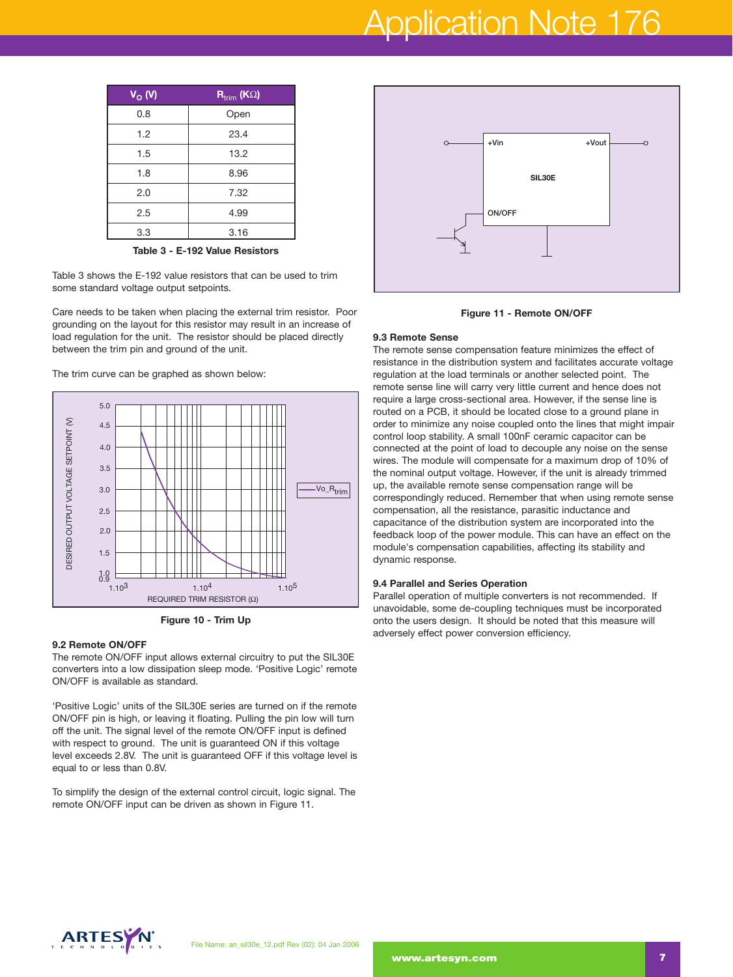# Application Note 176

| $V_O$ (V) | $\overline{\mathsf{R}_{\text{trim}}}$ (K $\Omega$ ) |
|-----------|-----------------------------------------------------|
| 0.8       | Open                                                |
| 1.2       | 23.4                                                |
| 1.5       | 13.2                                                |
| 1.8       | 8.96                                                |
| 2.0       | 7.32                                                |
| 2.5       | 4.99                                                |
| 3.3       | 3.16                                                |
|           |                                                     |

**Table 3 - E-192 Value Resistors**

Table 3 shows the E-192 value resistors that can be used to trim some standard voltage output setpoints.

Care needs to be taken when placing the external trim resistor. Poor grounding on the layout for this resistor may result in an increase of load regulation for the unit. The resistor should be placed directly between the trim pin and ground of the unit.

The trim curve can be graphed as shown below:



**Figure 10 - Trim Up** 

#### **9.2 Remote ON/OFF**

The remote ON/OFF input allows external circuitry to put the SIL30E converters into a low dissipation sleep mode. 'Positive Logic' remote ON/OFF is available as standard.

'Positive Logic' units of the SIL30E series are turned on if the remote ON/OFF pin is high, or leaving it floating. Pulling the pin low will turn off the unit. The signal level of the remote ON/OFF input is defined with respect to ground. The unit is guaranteed ON if this voltage level exceeds 2.8V. The unit is guaranteed OFF if this voltage level is equal to or less than 0.8V.

To simplify the design of the external control circuit, logic signal. The remote ON/OFF input can be driven as shown in Figure 11.





#### **9.3 Remote Sense**

The remote sense compensation feature minimizes the effect of resistance in the distribution system and facilitates accurate voltage regulation at the load terminals or another selected point. The remote sense line will carry very little current and hence does not require a large cross-sectional area. However, if the sense line is routed on a PCB, it should be located close to a ground plane in order to minimize any noise coupled onto the lines that might impair control loop stability. A small 100nF ceramic capacitor can be connected at the point of load to decouple any noise on the sense wires. The module will compensate for a maximum drop of 10% of the nominal output voltage. However, if the unit is already trimmed up, the available remote sense compensation range will be correspondingly reduced. Remember that when using remote sense compensation, all the resistance, parasitic inductance and capacitance of the distribution system are incorporated into the feedback loop of the power module. This can have an effect on the module's compensation capabilities, affecting its stability and dynamic response.

#### **9.4 Parallel and Series Operation**

Parallel operation of multiple converters is not recommended. If unavoidable, some de-coupling techniques must be incorporated onto the users design. It should be noted that this measure will adversely effect power conversion efficiency.

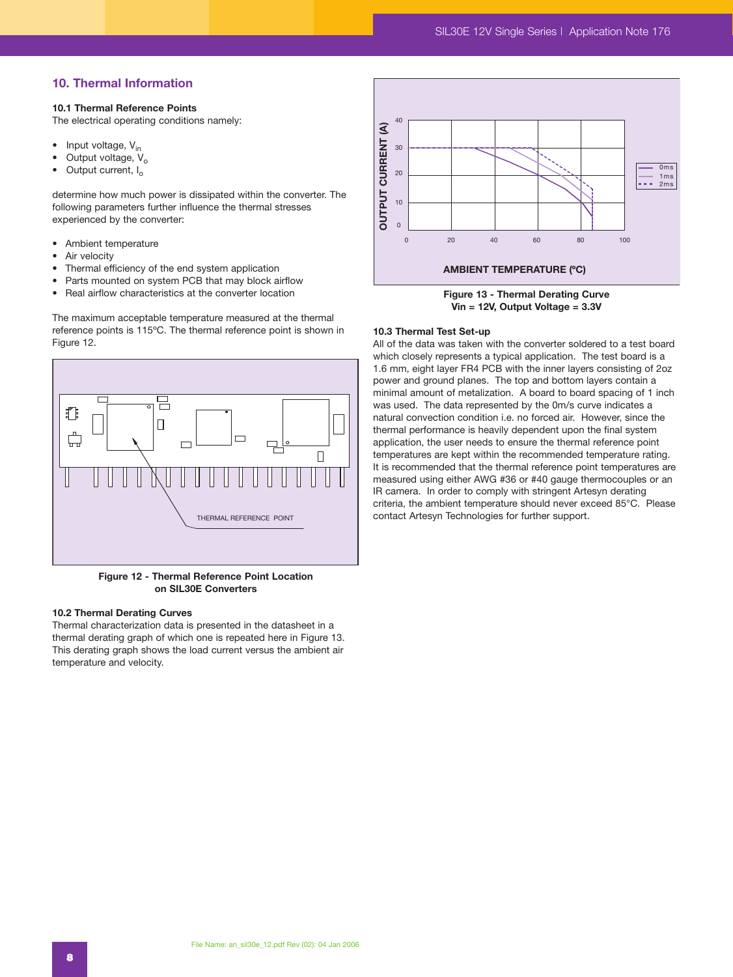# **10. Thermal Information**

#### **10.1 Thermal Reference Points**

The electrical operating conditions namely:

- Input voltage,  $V_{in}$ <br>• Output voltage V
- Output voltage,  $V_o$ <br>• Output current L
- Output current, I<sub>o</sub>

determine how much power is dissipated within the converter. The following parameters further influence the thermal stresses experienced by the converter:

- Ambient temperature
- Air velocity
- Thermal efficiency of the end system application
- Parts mounted on system PCB that may block airflow
- Real airflow characteristics at the converter location

The maximum acceptable temperature measured at the thermal reference points is 115ºC. The thermal reference point is shown in Figure 12.



**Figure 12 - Thermal Reference Point Location on SIL30E Converters**

# **10.2 Thermal Derating Curves**

Thermal characterization data is presented in the datasheet in a thermal derating graph of which one is repeated here in Figure 13. This derating graph shows the load current versus the ambient air temperature and velocity.



**Figure 13 - Thermal Derating Curve Vin = 12V, Output Voltage = 3.3V**

#### **10.3 Thermal Test Set-up**

All of the data was taken with the converter soldered to a test board which closely represents a typical application. The test board is a 1.6 mm, eight layer FR4 PCB with the inner layers consisting of 2oz power and ground planes. The top and bottom layers contain a minimal amount of metalization. A board to board spacing of 1 inch was used. The data represented by the 0m/s curve indicates a natural convection condition i.e. no forced air. However, since the thermal performance is heavily dependent upon the final system application, the user needs to ensure the thermal reference point temperatures are kept within the recommended temperature rating. It is recommended that the thermal reference point temperatures are measured using either AWG #36 or #40 gauge thermocouples or an IR camera. In order to comply with stringent Artesyn derating criteria, the ambient temperature should never exceed 85°C. Please contact Artesyn Technologies for further support.